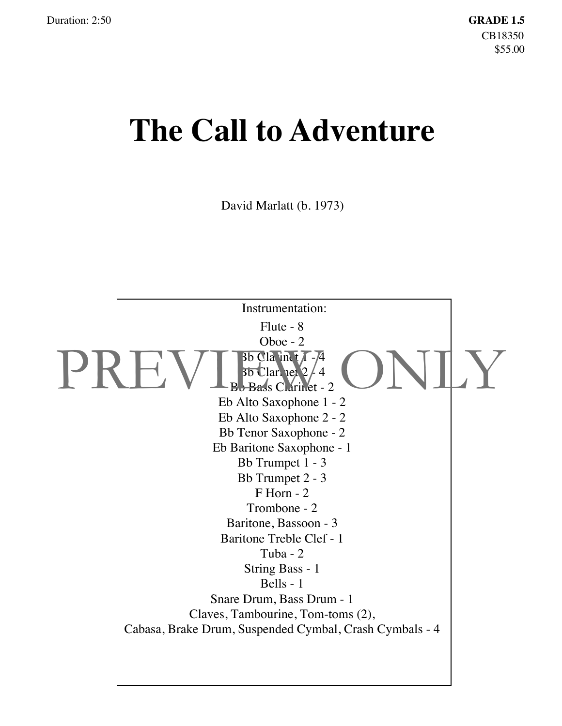## **The Call to Adventure**

David Marlatt (b. 1973)

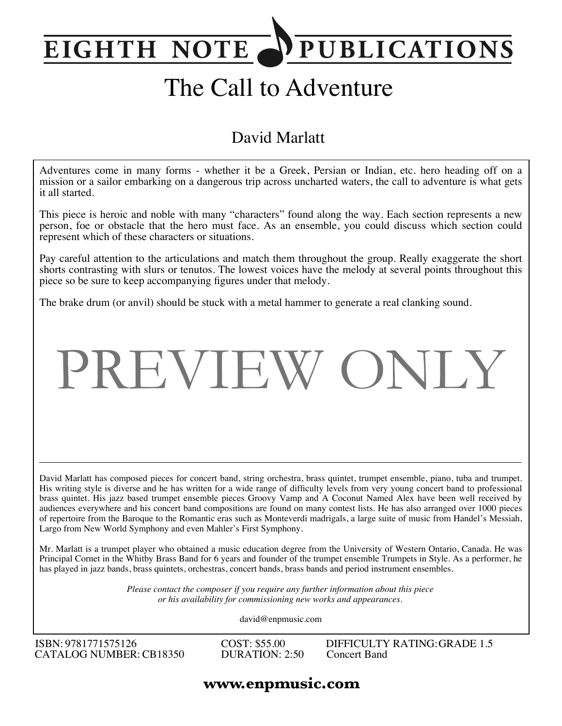#### PUBLICATIONS **EIGHTH NOTE**

### The Call to Adventure

#### David Marlatt

Adventures come in many forms - whether it be a Greek, Persian or Indian, etc. hero heading off on a mission or a sailor embarking on a dangerous trip across uncharted waters, the call to adventure is what gets it all started.

This piece is heroic and noble with many "characters" found along the way. Each section represents a new person, foe or obstacle that the hero must face. As an ensemble, you could discuss which section could represent which of these characters or situations.

Pay careful attention to the articulations and match them throughout the group. Really exaggerate the short shorts contrasting with slurs or tenutos. The lowest voices have the melody at several points throughout this piece so be sure to keep accompanying figures under that melody.

The brake drum (or anvil) should be stuck with a metal hammer to generate a real clanking sound.

# PREVIEW ONLY

David Marlatt has composed pieces for concert band, string orchestra, brass quintet, trumpet ensemble, piano, tuba and trumpet. His writing style is diverse and he has written for a wide range of difficulty levels from very young concert band to professional brass quintet. His jazz based trumpet ensemble pieces Groovy Vamp and A Coconut Named Alex have been well received by audiences everywhere and his concert band compositions are found on many contest lists. He has also arranged over 1000 pieces of repertoire from the Baroque to the Romantic eras such as Monteverdi madrigals, a large suite of music from Handel's Messiah, Largo from New World Symphony and even Mahler's First Symphony.

Mr. Marlatt is a trumpet player who obtained a music education degree from the University of Western Ontario, Canada. He was Principal Cornet in the Whitby Brass Band for 6 years and founder of the trumpet ensemble Trumpets in Style. As a performer, he has played in jazz bands, brass quintets, orchestras, concert bands, brass bands and period instrument ensembles.

> *Please contact the composer if you require any further information about this piece or his availability for commissioning new works and appearances.*

> > david@enpmusic.com

ISBN: 9781771575126 CATALOG NUMBER:CB18350 COST: \$55.00 DURATION: 2:50 DIFFICULTY RATING:GRADE 1.5 Concert Band

#### **www.enpmusic.com**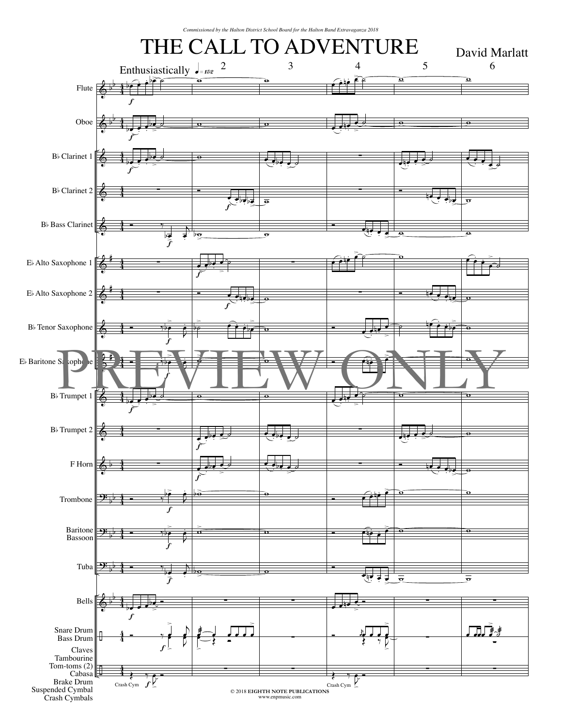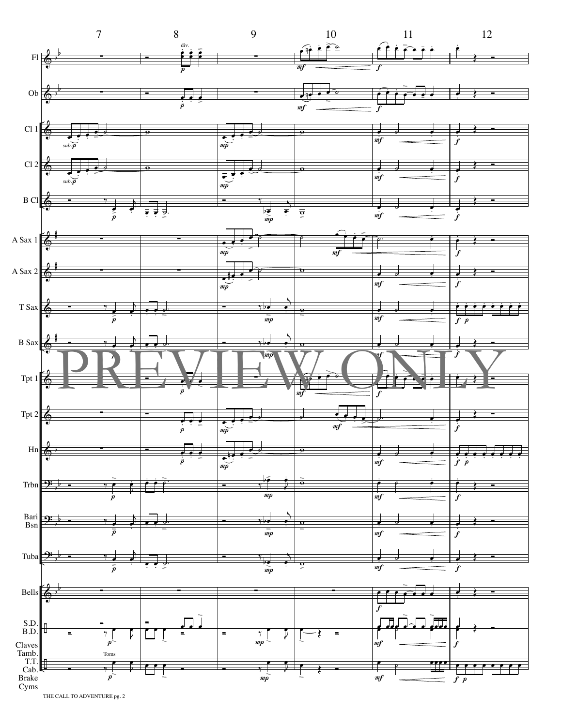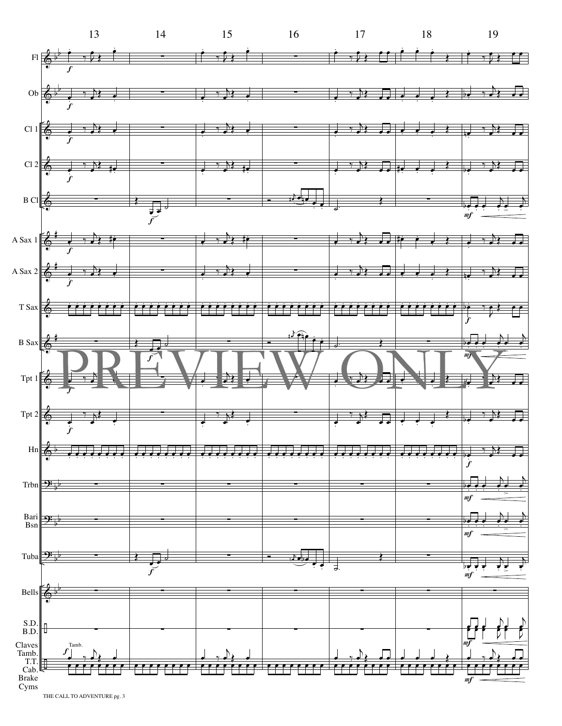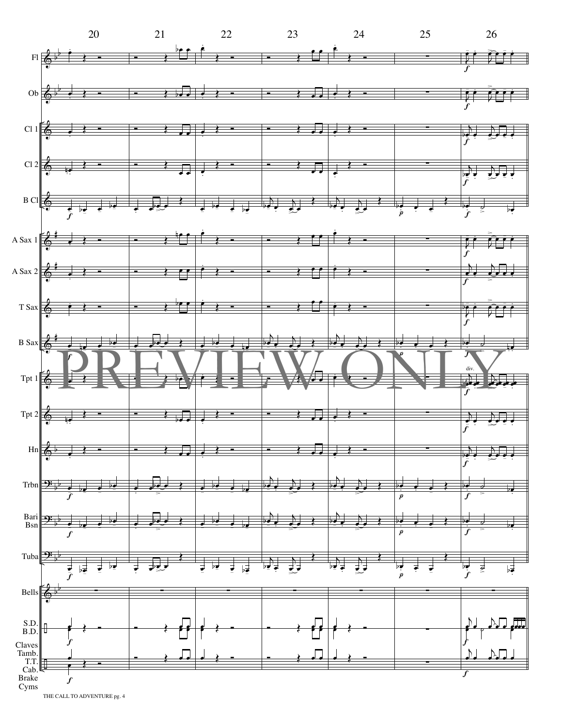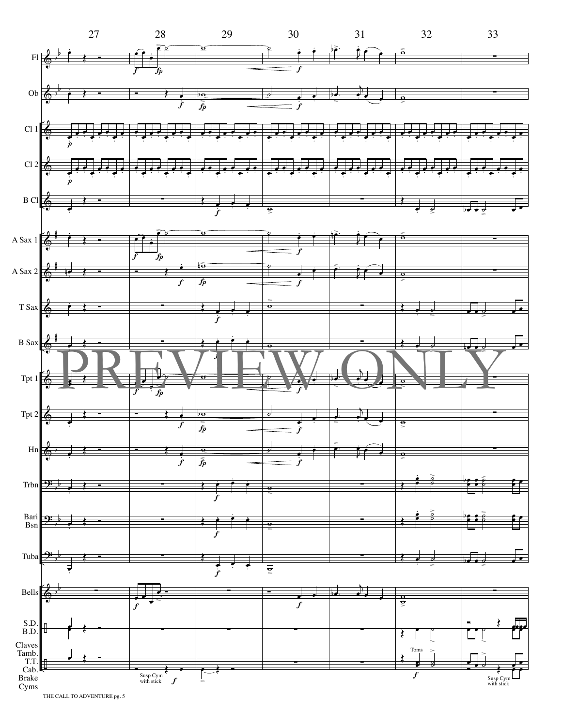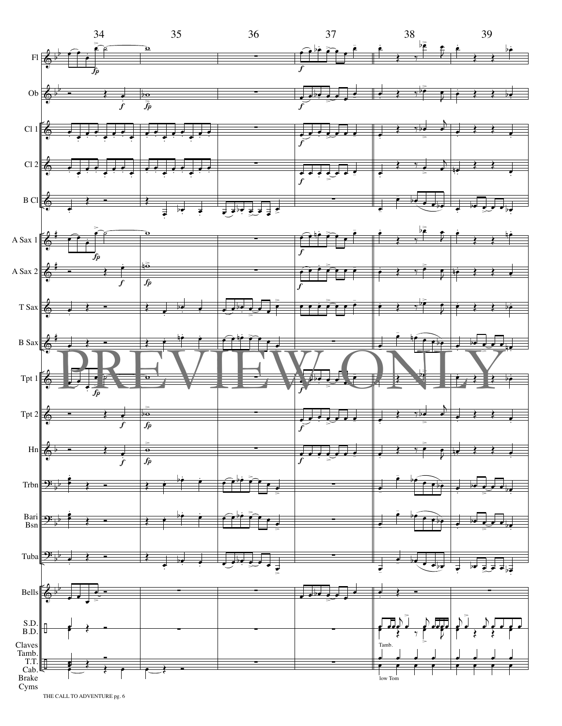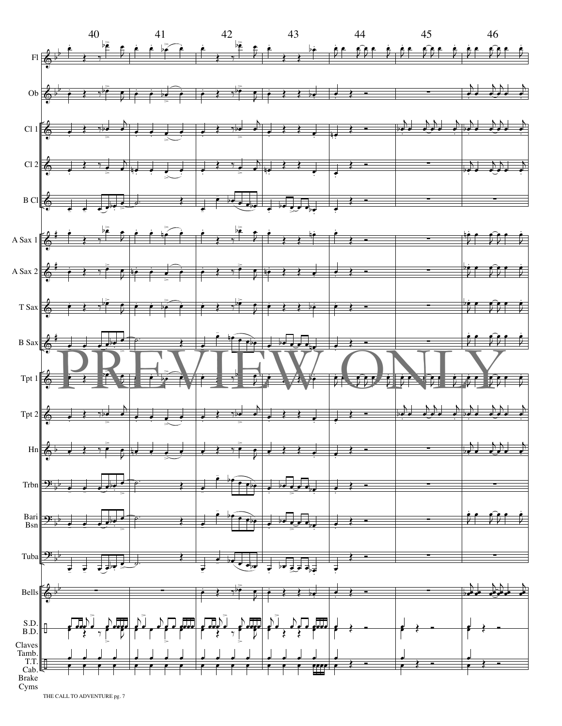![](_page_8_Figure_0.jpeg)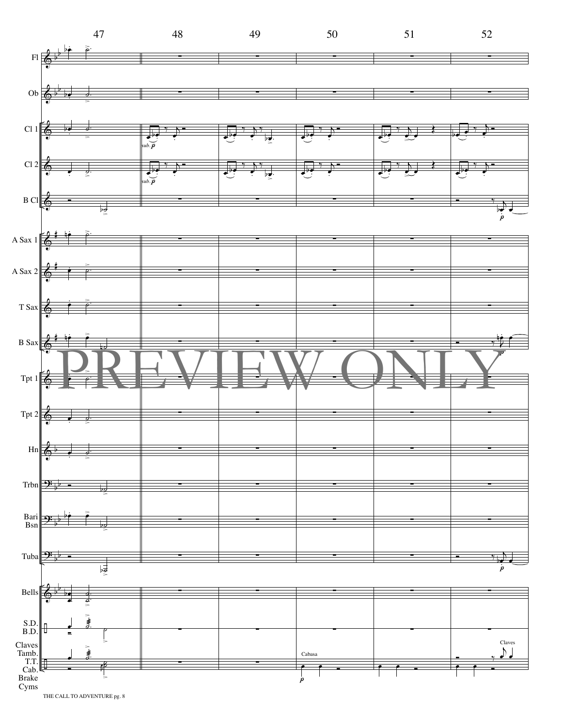![](_page_9_Figure_0.jpeg)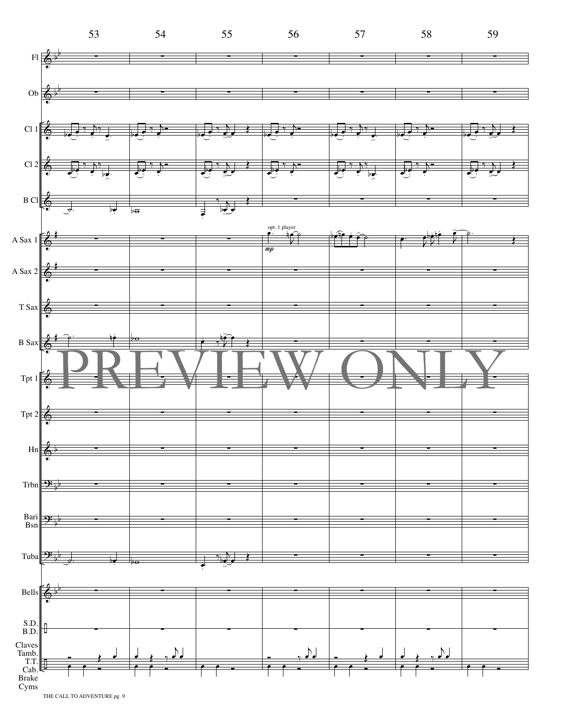![](_page_10_Figure_0.jpeg)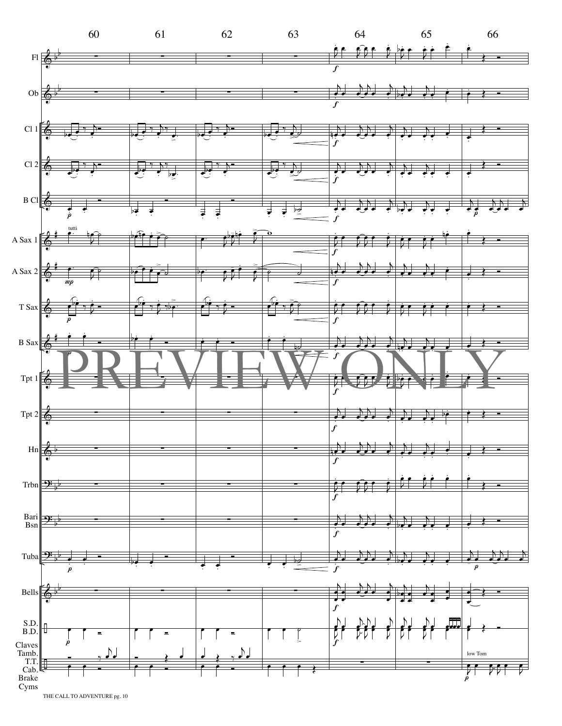![](_page_11_Figure_0.jpeg)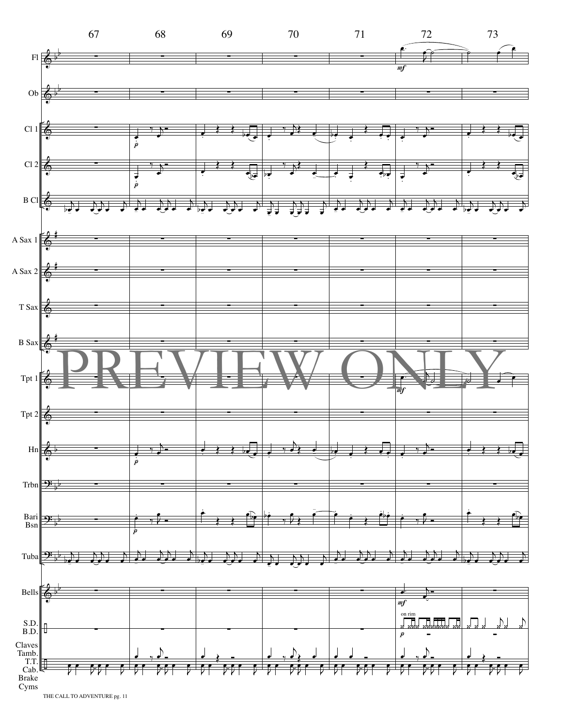![](_page_12_Figure_0.jpeg)

THE CALL TO ADVENTURE pg. 11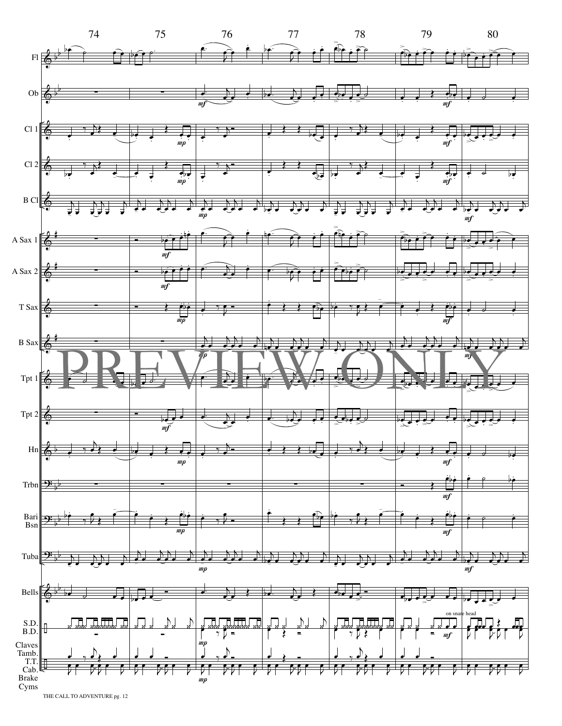![](_page_13_Figure_0.jpeg)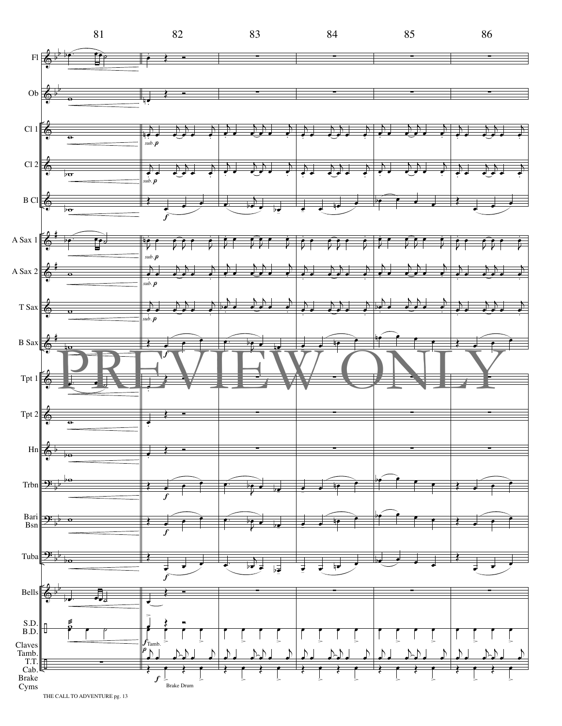![](_page_14_Figure_0.jpeg)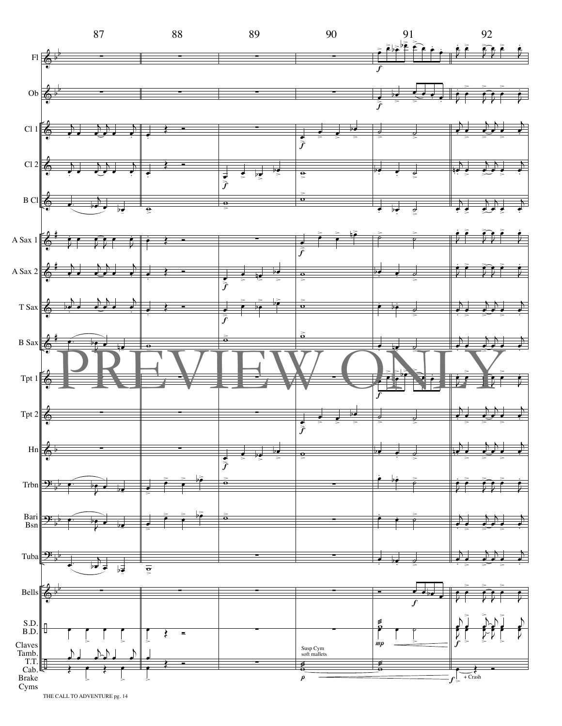![](_page_15_Figure_0.jpeg)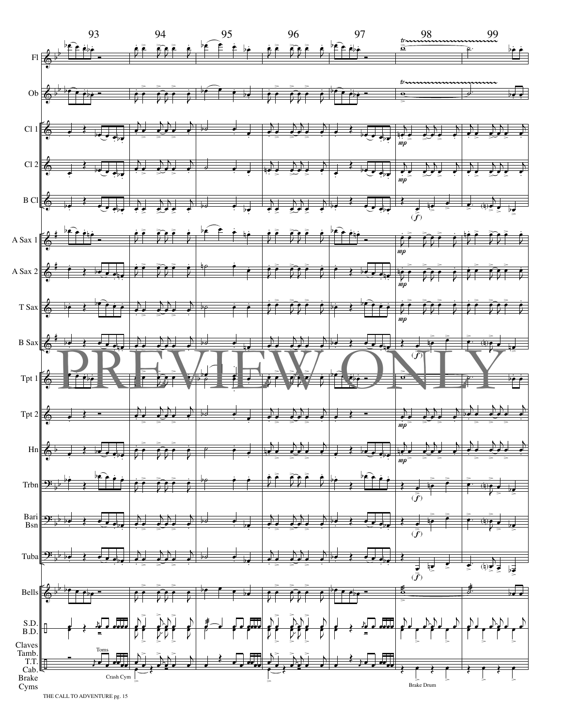![](_page_16_Figure_0.jpeg)